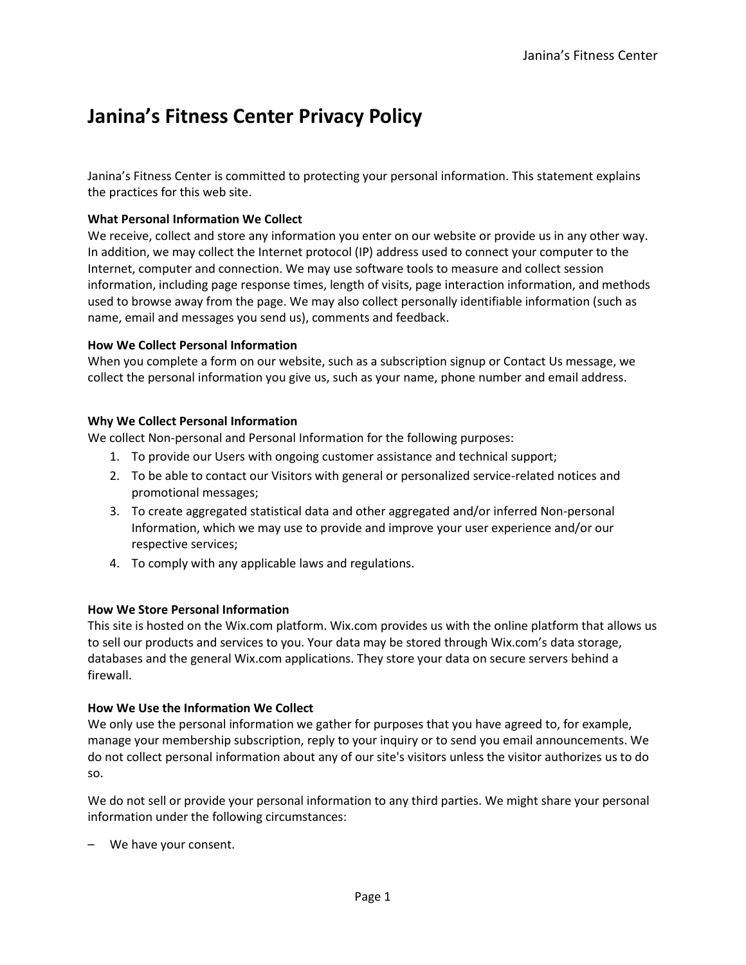# **Janina's Fitness Center Privacy Policy**

Janina's Fitness Center is committed to protecting your personal information. This statement explains the practices for this web site.

## **What Personal Information We Collect**

We receive, collect and store any information you enter on our website or provide us in any other way. In addition, we may collect the Internet protocol (IP) address used to connect your computer to the Internet, computer and connection. We may use software tools to measure and collect session information, including page response times, length of visits, page interaction information, and methods used to browse away from the page. We may also collect personally identifiable information (such as name, email and messages you send us), comments and feedback.

## **How We Collect Personal Information**

When you complete a form on our website, such as a subscription signup or Contact Us message, we collect the personal information you give us, such as your name, phone number and email address.

# **Why We Collect Personal Information**

We collect Non-personal and Personal Information for the following purposes:

- 1. To provide our Users with ongoing customer assistance and technical support;
- 2. To be able to contact our Visitors with general or personalized service-related notices and promotional messages;
- 3. To create aggregated statistical data and other aggregated and/or inferred Non-personal Information, which we may use to provide and improve your user experience and/or our respective services;
- 4. To comply with any applicable laws and regulations.

## **How We Store Personal Information**

This site is hosted on the Wix.com platform. Wix.com provides us with the online platform that allows us to sell our products and services to you. Your data may be stored through Wix.com's data storage, databases and the general Wix.com applications. They store your data on secure servers behind a firewall.

## **How We Use the Information We Collect**

We only use the personal information we gather for purposes that you have agreed to, for example, manage your membership subscription, reply to your inquiry or to send you email announcements. We do not collect personal information about any of our site's visitors unless the visitor authorizes us to do so.

We do not sell or provide your personal information to any third parties. We might share your personal information under the following circumstances:

– We have your consent.